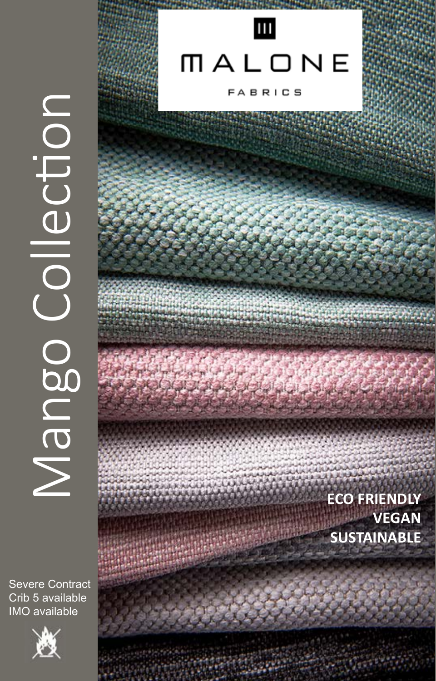Nango CogueN

**Severe Contract** Crib 5 available **IMO** available



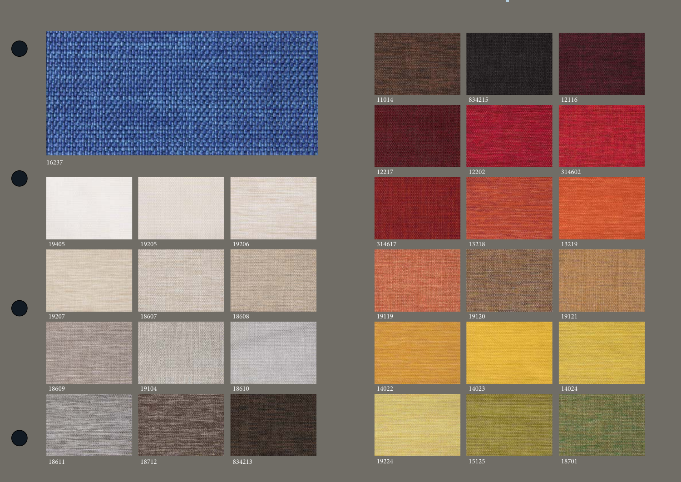

18712 834213



























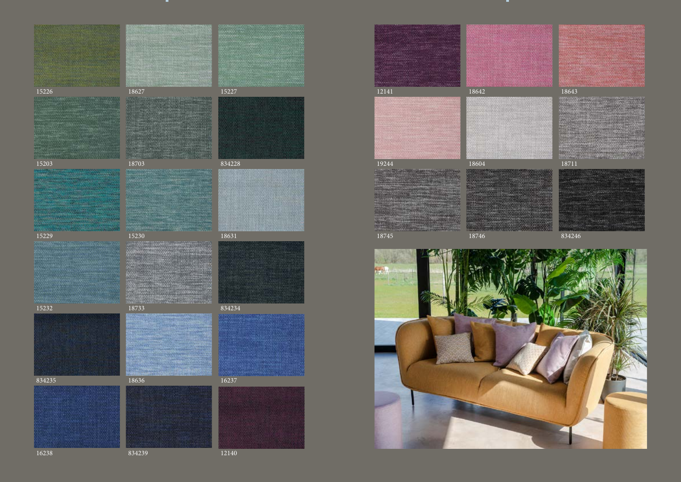





18703 834228



15230 18631







834239 12140